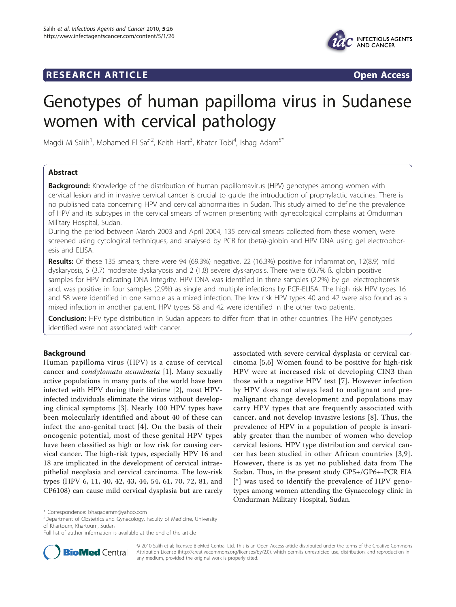# **RESEARCH ARTICLE Example 2018 CONSIDERING ACCESS**



# Genotypes of human papilloma virus in Sudanese women with cervical pathology

Magdi M Salih<sup>1</sup>, Mohamed El Safi<sup>2</sup>, Keith Hart<sup>3</sup>, Khater Tobi<sup>4</sup>, Ishag Adam<sup>5\*</sup>

# Abstract

**Background:** Knowledge of the distribution of human papillomavirus (HPV) genotypes among women with cervical lesion and in invasive cervical cancer is crucial to guide the introduction of prophylactic vaccines. There is no published data concerning HPV and cervical abnormalities in Sudan. This study aimed to define the prevalence of HPV and its subtypes in the cervical smears of women presenting with gynecological complains at Omdurman Military Hospital, Sudan.

During the period between March 2003 and April 2004, 135 cervical smears collected from these women, were screened using cytological techniques, and analysed by PCR for (beta)-globin and HPV DNA using gel electrophoresis and ELISA.

Results: Of these 135 smears, there were 94 (69.3%) negative, 22 (16.3%) positive for inflammation, 12(8.9) mild dyskaryosis, 5 (3.7) moderate dyskaryosis and 2 (1.8) severe dyskaryosis. There were 60.7% ß. globin positive samples for HPV indicating DNA integrity. HPV DNA was identified in three samples (2.2%) by gel electrophoresis and. was positive in four samples (2.9%) as single and multiple infections by PCR-ELISA. The high risk HPV types 16 and 58 were identified in one sample as a mixed infection. The low risk HPV types 40 and 42 were also found as a mixed infection in another patient. HPV types 58 and 42 were identified in the other two patients.

Conclusion: HPV type distribution in Sudan appears to differ from that in other countries. The HPV genotypes identified were not associated with cancer.

# Background

Human papilloma virus (HPV) is a cause of cervical cancer and condylomata acuminata [[1](#page-2-0)]. Many sexually active populations in many parts of the world have been infected with HPV during their lifetime [\[2](#page-2-0)], most HPVinfected individuals eliminate the virus without developing clinical symptoms [\[3\]](#page-2-0). Nearly 100 HPV types have been molecularly identified and about 40 of these can infect the ano-genital tract [[4](#page-2-0)]. On the basis of their oncogenic potential, most of these genital HPV types have been classified as high or low risk for causing cervical cancer. The high-risk types, especially HPV 16 and 18 are implicated in the development of cervical intraepithelial neoplasia and cervical carcinoma. The low-risk types (HPV 6, 11, 40, 42, 43, 44, 54, 61, 70, 72, 81, and CP6108) can cause mild cervical dysplasia but are rarely

associated with severe cervical dysplasia or cervical carcinoma [[5,6](#page-2-0)] Women found to be positive for high-risk HPV were at increased risk of developing CIN3 than those with a negative HPV test [[7\]](#page-2-0). However infection by HPV does not always lead to malignant and premalignant change development and populations may carry HPV types that are frequently associated with cancer, and not develop invasive lesions [[8\]](#page-2-0). Thus, the prevalence of HPV in a population of people is invariably greater than the number of women who develop cervical lesions. HPV type distribution and cervical cancer has been studied in other African countries [[3](#page-2-0),[9\]](#page-2-0). However, there is as yet no published data from The Sudan. Thus, in the present study GP5+/GP6+-PCR EIA [\*] was used to identify the prevalence of HPV genotypes among women attending the Gynaecology clinic in Omdurman Military Hospital, Sudan.

<sup>5</sup>Department of Obstetrics and Gynecology, Faculty of Medicine, University of Khartoum, Khartoum, Sudan

Full list of author information is available at the end of the article



© 2010 Salih et al; licensee BioMed Central Ltd. This is an Open Access article distributed under the terms of the Creative Commons Attribution License [\(http://creativecommons.org/licenses/by/2.0](http://creativecommons.org/licenses/by/2.0)), which permits unrestricted use, distribution, and reproduction in any medium, provided the original work is properly cited.

<sup>\*</sup> Correspondence: [ishagadamm@yahoo.com](mailto:ishagadamm@yahoo.com)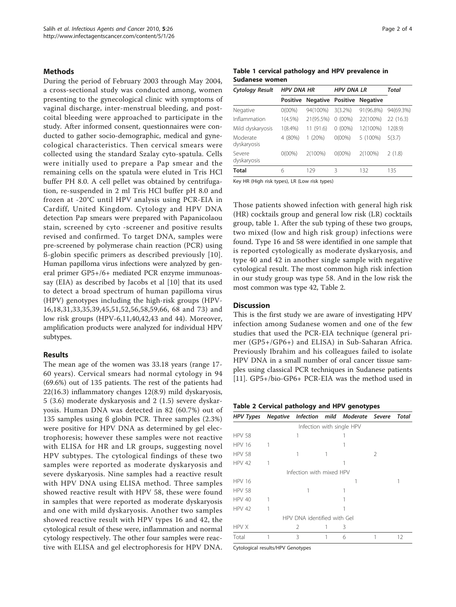# Methods

During the period of February 2003 through May 2004, a cross-sectional study was conducted among, women presenting to the gynecological clinic with symptoms of vaginal discharge, inter-menstrual bleeding, and postcoital bleeding were approached to participate in the study. After informed consent, questionnaires were conducted to gather socio-demographic, medical and gynecological characteristics. Then cervical smears were collected using the standard Szalay cyto-spatula. Cells were initially used to prepare a Pap smear and the remaining cells on the spatula were eluted in Tris HCl buffer PH 8.0. A cell pellet was obtained by centrifugation, re-suspended in 2 ml Tris HCl buffer pH 8.0 and frozen at -20°C until HPV analysis using PCR-EIA in Cardiff, United Kingdom. Cytology and HPV DNA detection Pap smears were prepared with Papanicolaou stain, screened by cyto -screener and positive results revised and confirmed. To target DNA, samples were pre-screened by polymerase chain reaction (PCR) using ß-globin specific primers as described previously [[10](#page-2-0)]. Human papilloma virus infections were analyzed by general primer GP5+/6+ mediated PCR enzyme immunoassay (EIA) as described by Jacobs et al [[10\]](#page-2-0) that its used to detect a broad spectrum of human papilloma virus (HPV) genotypes including the high-risk groups (HPV-16,18,31,33,35,39,45,51,52,56,58,59,66, 68 and 73) and low risk groups (HPV-6,11,40,42,43 and 44). Moreover, amplification products were analyzed for individual HPV subtypes.

## Results

The mean age of the women was 33.18 years (range 17- 60 years). Cervical smears had normal cytology in 94 (69.6%) out of 135 patients. The rest of the patients had 22(16.3) inflammatory changes 12(8.9) mild dyskaryosis, 5 (3.6) moderate dyskaryosis and 2 (1.5) severe dyskaryosis. Human DNA was detected in 82 (60.7%) out of 135 samples using ß globin PCR. Three samples (2.3%) were positive for HPV DNA as determined by gel electrophoresis; however these samples were not reactive with ELISA for HR and LR groups, suggesting novel HPV subtypes. The cytological findings of these two samples were reported as moderate dyskaryosis and severe dyskaryosis. Nine samples had a reactive result with HPV DNA using ELISA method. Three samples showed reactive result with HPV 58, these were found in samples that were reported as moderate dyskaryosis and one with mild dyskaryosis. Another two samples showed reactive result with HPV types 16 and 42, the cytological result of these were, inflammation and normal cytology respectively. The other four samples were reactive with ELISA and gel electrophoresis for HPV DNA.

|                |  | Table 1 cervical pathology and HPV prevalence in |  |
|----------------|--|--------------------------------------------------|--|
| Sudanese women |  |                                                  |  |

| <b>Cytology Result</b>  | <b>HPV DNA HR</b> |                          | <b>HPV DNA LR</b> | Total           |           |
|-------------------------|-------------------|--------------------------|-------------------|-----------------|-----------|
|                         | <b>Positive</b>   | <b>Negative Positive</b> |                   | <b>Negative</b> |           |
| Negative                | $0(00\%)$         | 94(100%)                 | $3(3.2\%)$        | 91(96.8%)       | 94(69.3%) |
| Inflammation            | $1(4.5\%)$        | 21(95.5%)                | $0(00\%)$         | 22(100%)        | 22 (16.3) |
| Mild dyskaryosis        | $1(8.4\%)$        | 11 (91.6)                | $0(00\%)$         | 12(100%)        | 12(8.9)   |
| Moderate<br>dyskaryosis | (80%)<br>4        | (20%)<br>L               | $0(00\%)$         | 5 (100%)        | 5(3.7)    |
| Severe<br>dyskaryosis   | $0(00\%)$         | 2(100%)                  | $0(00\%)$         | 2(100%)         | 2(1.8)    |
| Total                   | 6                 | 129                      | ς                 | 132             | 135       |

Key HR (High risk types), LR (Low risk types)

Those patients showed infection with general high risk (HR) cocktails group and general low risk (LR) cocktails group, table 1. After the sub typing of these two groups, two mixed (low and high risk group) infections were found. Type 16 and 58 were identified in one sample that is reported cytologically as moderate dyskaryosis, and type 40 and 42 in another single sample with negative cytological result. The most common high risk infection in our study group was type 58. And in the low risk the most common was type 42, Table 2.

# **Discussion**

This is the first study we are aware of investigating HPV infection among Sudanese women and one of the few studies that used the PCR-EIA technique (general primer (GP5+/GP6+) and ELISA) in Sub-Saharan Africa. Previously Ibrahim and his colleagues failed to isolate HPV DNA in a small number of oral cancer tissue samples using classical PCR techniques in Sudanese patients [[11\]](#page-2-0). GP5+/bio-GP6+ PCR-EIA was the method used in

|  |  |  | Table 2 Cervical pathology and HPV genotypes |  |  |  |
|--|--|--|----------------------------------------------|--|--|--|
|--|--|--|----------------------------------------------|--|--|--|

| <b>HPV Types</b> |                             | Negative Infection mild Moderate Severe Total |               |    |
|------------------|-----------------------------|-----------------------------------------------|---------------|----|
|                  |                             | Infection with single HPV                     |               |    |
| <b>HPV 58</b>    |                             |                                               |               |    |
| <b>HPV 16</b>    |                             |                                               |               |    |
| <b>HPV 58</b>    |                             |                                               | $\mathcal{P}$ |    |
| HPV 42           |                             |                                               |               |    |
|                  | Infection with mixed HPV    |                                               |               |    |
| <b>HPV 16</b>    |                             |                                               |               |    |
| <b>HPV 58</b>    |                             |                                               |               |    |
| HPV 40           |                             |                                               |               |    |
| HPV 42           |                             |                                               |               |    |
|                  | HPV DNA identified with Gel |                                               |               |    |
| <b>HPV X</b>     | 2                           | 3                                             |               |    |
| Total            | ξ                           | 6                                             |               | 12 |

Cytological results/HPV Genotypes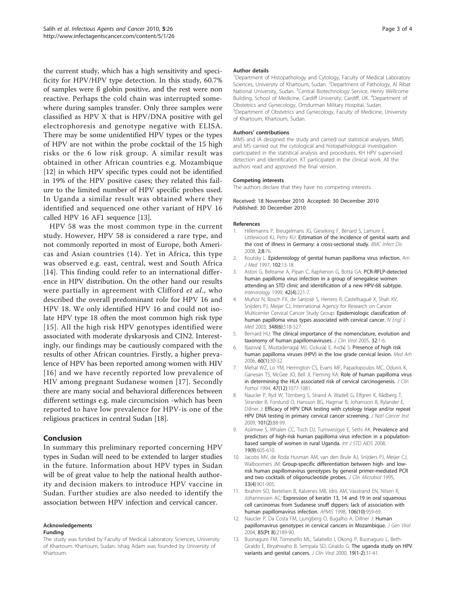<span id="page-2-0"></span>the current study, which has a high sensitivity and specificity for HPV/HPV type detection. In this study, 60.7% of samples were ß globin positive, and the rest were non reactive. Perhaps the cold chain was interrupted somewhere during samples transfer. Only three samples were classified as HPV X that is HPV/DNA positive with gel electrophoresis and genotype negative with ELISA. There may be some unidentified HPV types or the types of HPV are not within the probe cocktail of the 15 high risks or the 6 low risk group. A similar result was obtained in other African countries e.g. Mozambique [12] in which HPV specific types could not be identified in 19% of the HPV positive cases; they related this failure to the limited number of HPV specific probes used. In Uganda a similar result was obtained where they identified and sequenced one other variant of HPV 16 called HPV 16 AF1 sequence [13].

HPV 58 was the most common type in the current study. However, HPV 58 is considered a rare type, and not commonly reported in most of Europe, both Americas and Asian countries (14). Yet in Africa, this type was observed e.g. east, central, west and South Africa [[14\]](#page-3-0). This finding could refer to an international difference in HPV distribution. On the other hand our results were partially in agreement with Clifford et al., who described the overall predominant role for HPV 16 and HPV 18. We only identified HPV 16 and could not isolate HPV type 18 often the most common high risk type [[15\]](#page-3-0). All the high risk HPV genotypes identified were associated with moderate dyskaryosis and CIN2. Interestingly, our findings may be cautiously compared with the results of other African countries. Firstly, a higher prevalence of HPV has been reported among women with HIV [[16\]](#page-3-0) and we have recently reported low prevalence of HIV among pregnant Sudanese women [[17](#page-3-0)]. Secondly there are many social and behavioral differences between different settings e.g. male circumcision -which has been reported to have low prevalence for HPV-is one of the religious practices in central Sudan [[18\]](#page-3-0).

## Conclusion

In summary this preliminary reported concerning HPV types in Sudan will need to be extended to larger studies in the future. Information about HPV types in Sudan will be of great value to help the national health authority and decision makers to introduce HPV vaccine in Sudan. Further studies are also needed to identify the association between HPV infection and cervical cancer.

# Acknowledgements

#### Funding

The study was funded by Faculty of Medical Laboratory Sciences, University of Khartoum. Khartoum, Sudan. Ishag Adam was founded by University of Khartoum.

#### Author details

<sup>1</sup>Department of Histopathology and Cytology, Faculty of Medical Laboratory Sciences, University of Khartoum, Sudan. <sup>2</sup>Department of Pathology, Al Ribat National University, Sudan. <sup>3</sup>Central Biotechnology Service, Henry Wellcome Building, School of Medicine, Cardiff University, Cardiff, UK. <sup>4</sup>Department of Obstetrics and Gynecology, Omdurman Military Hospital, Sudan. 5 Department of Obstetrics and Gynecology, Faculty of Medicine, University of Khartoum, Khartoum, Sudan.

#### Authors' contributions

MMS and IA designed the study and carried out statistical analyses. MMS and MS carried out the cytological and histopathological investigation participated in the statistical analysis and procedures. KH HPV supervised detection and Identification. KT participated in the clinical work. All the authors read and approved the final version.

#### Competing interests

The authors declare that they have no competing interests.

#### Received: 18 November 2010 Accepted: 30 December 2010 Published: 30 December 2010

#### References

- 1. Hillemanns P, Breugelmans JG, Gieseking F, Bénard S, Lamure E, Littlewood KJ, Petry KU: Estimation of the incidence of genital warts and the cost of illness in Germany: a cross-sectional study. BMC Infect Dis 2008, 2;8:76.
- 2. Koutsky L: Epidemiology of genital human papilloma virus infection. Am J Med 1997, 102:13-18.
- 3. Astori G, Beltrame A, Pipan C, Raphenon G, Botta GA: [PCR-RFLP-detected](http://www.ncbi.nlm.nih.gov/pubmed/10567840?dopt=Abstract) [human papilloma virus infection in a group of senegalese women](http://www.ncbi.nlm.nih.gov/pubmed/10567840?dopt=Abstract) [attending an STD clinic and identification of a new HPV-68 subtype.](http://www.ncbi.nlm.nih.gov/pubmed/10567840?dopt=Abstract) Intervirology 1999, 42(4):221-7.
- 4. Muñoz N, Bosch FX, de Sanjosé S, Herrero R, Castellsagué X, Shah KV, Snijders PJ, Meijer CJ, International Agency for Research on Cancer Multicenter Cervical Cancer Study Group: [Epidemiologic classification of](http://www.ncbi.nlm.nih.gov/pubmed/12571259?dopt=Abstract) [human papilloma virus types associated with cervical cancer.](http://www.ncbi.nlm.nih.gov/pubmed/12571259?dopt=Abstract) N Engl J Med 2003, 348(6):518-527.
- 5. Bernard HU: [The clinical importance of the nomenclature, evolution and](http://www.ncbi.nlm.nih.gov/pubmed/15571999?dopt=Abstract) [taxonomy of human papillomaviruses.](http://www.ncbi.nlm.nih.gov/pubmed/15571999?dopt=Abstract) J Clin Virol 2005, 32:1-6.
- 6. Iljazović E, Mustadenagić MJ, Cickusić E, Avdić S: [Presence of high risk](http://www.ncbi.nlm.nih.gov/pubmed/16425530?dopt=Abstract) [human papilloma viruses \(HPV\) in the low grade cervical lesion.](http://www.ncbi.nlm.nih.gov/pubmed/16425530?dopt=Abstract) Med Arh 2006, 60(1):30-32.
- 7. Mehal WZ, Lo YM, Herrington CS, Evans MF, Papadopoulos MC, Odunis K, Ganesan TS, McGee JO, Bell JI, Fleming KA: [Role of human papilloma virus](http://www.ncbi.nlm.nih.gov/pubmed/7876378?dopt=Abstract) [in determining the HLA associated risk of cervical carcinogenesis.](http://www.ncbi.nlm.nih.gov/pubmed/7876378?dopt=Abstract) J Clin Pathol 1994, 47(12):1077-1081.
- 8. Naucler P, Ryd W, Törnberg S, Strand A, Wadell G, Elfgren K, Rådberg T, Strander B, Forslund O, Hansson BG, Hagmar B, Johansson B, Rylander E, Dillner J: [Efficacy of HPV DNA testing with cytology triage and/or repeat](http://www.ncbi.nlm.nih.gov/pubmed/19141778?dopt=Abstract) [HPV DNA testing in primary cervical cancer screening.](http://www.ncbi.nlm.nih.gov/pubmed/19141778?dopt=Abstract) J Natl Cancer Inst 2009, 101(2):88-99.
- 9. Asiimwe S, Whalen CC, Tisch DJ, Tumwesigye E, Sethi AK: [Prevalence and](http://www.ncbi.nlm.nih.gov/pubmed/18725551?dopt=Abstract) [predictors of high-risk human papilloma virus infection in a population](http://www.ncbi.nlm.nih.gov/pubmed/18725551?dopt=Abstract)[based sample of women in rural Uganda.](http://www.ncbi.nlm.nih.gov/pubmed/18725551?dopt=Abstract) Int J STD AIDS 2008, 19(9):605-610.
- 10. Jacobs MV, de Roda Husman AM, van den Brule AJ, Snijders PJ, Meijer CJ, Walboomers JM: [Group-specific differentiation between high- and low](http://www.ncbi.nlm.nih.gov/pubmed/7790457?dopt=Abstract)[risk human papillomavirus genotypes by general primer-mediated PCR](http://www.ncbi.nlm.nih.gov/pubmed/7790457?dopt=Abstract) [and two cocktails of oligonucleotide probes.](http://www.ncbi.nlm.nih.gov/pubmed/7790457?dopt=Abstract) J Clin Microbiol 1995, 33(4):901-905.
- 11. Ibrahim SO, Bertelsen B, Kalvenes MB, Idris AM, Vasstrand EN, Nilsen R, Johannessen AC: [Expression of keratin 13, 14 and 19 in oral squamous](http://www.ncbi.nlm.nih.gov/pubmed/9833698?dopt=Abstract) [cell carcinomas from Sudanese snuff dippers: lack of association with](http://www.ncbi.nlm.nih.gov/pubmed/9833698?dopt=Abstract) [human papillomavirus infection.](http://www.ncbi.nlm.nih.gov/pubmed/9833698?dopt=Abstract) APMIS 1998, 106(10):959-69.
- 12. Naucler P, Da Costa FM, Ljungberg O, Bugalho A, Dillner J: [Human](http://www.ncbi.nlm.nih.gov/pubmed/15269357?dopt=Abstract) [papillomavirus genotypes in cervical cancers in Mozambique.](http://www.ncbi.nlm.nih.gov/pubmed/15269357?dopt=Abstract) J Gen Virol 2004, 85(Pt 8):2189-90.
- 13. Buonaguro FM, Tornesello ML, Salatiello I, Okong P, Buonaguro L, Beth-Giraldo E, Biryahwaho B, Sempala SD, Giraldo G: [The uganda study on HPV](http://www.ncbi.nlm.nih.gov/pubmed/11091146?dopt=Abstract) [variants and genital cancers.](http://www.ncbi.nlm.nih.gov/pubmed/11091146?dopt=Abstract) J Clin Virol 2000, 19(1-2):31-41.